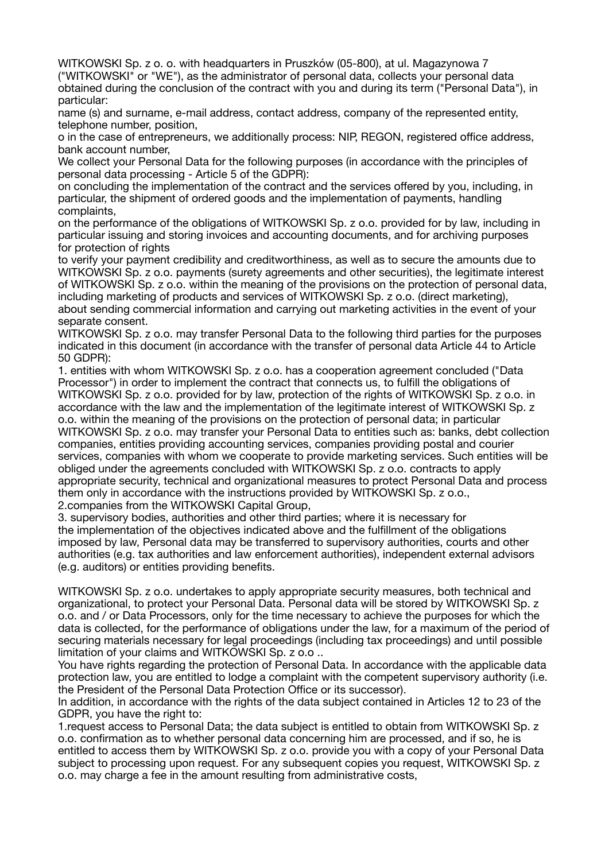WITKOWSKI Sp. z o. o. with headquarters in Pruszków (05-800), at ul. Magazynowa 7 ("WITKOWSKI" or "WE"), as the administrator of personal data, collects your personal data obtained during the conclusion of the contract with you and during its term ("Personal Data"), in particular:

name (s) and surname, e-mail address, contact address, company of the represented entity, telephone number, position,

o in the case of entrepreneurs, we additionally process: NIP, REGON, registered office address, bank account number,

We collect your Personal Data for the following purposes (in accordance with the principles of personal data processing - Article 5 of the GDPR):

on concluding the implementation of the contract and the services offered by you, including, in particular, the shipment of ordered goods and the implementation of payments, handling complaints,

on the performance of the obligations of WITKOWSKI Sp. z o.o. provided for by law, including in particular issuing and storing invoices and accounting documents, and for archiving purposes for protection of rights

to verify your payment credibility and creditworthiness, as well as to secure the amounts due to WITKOWSKI Sp. z o.o. payments (surety agreements and other securities), the legitimate interest of WITKOWSKI Sp. z o.o. within the meaning of the provisions on the protection of personal data, including marketing of products and services of WITKOWSKI Sp. z o.o. (direct marketing), about sending commercial information and carrying out marketing activities in the event of your separate consent.

WITKOWSKI Sp. z o.o. may transfer Personal Data to the following third parties for the purposes indicated in this document (in accordance with the transfer of personal data Article 44 to Article 50 GDPR):

1. entities with whom WITKOWSKI Sp. z o.o. has a cooperation agreement concluded ("Data Processor") in order to implement the contract that connects us, to fulfill the obligations of WITKOWSKI Sp. z o.o. provided for by law, protection of the rights of WITKOWSKI Sp. z o.o. in accordance with the law and the implementation of the legitimate interest of WITKOWSKI Sp. z o.o. within the meaning of the provisions on the protection of personal data; in particular WITKOWSKI Sp. z o.o. may transfer your Personal Data to entities such as: banks, debt collection companies, entities providing accounting services, companies providing postal and courier services, companies with whom we cooperate to provide marketing services. Such entities will be obliged under the agreements concluded with WITKOWSKI Sp. z o.o. contracts to apply appropriate security, technical and organizational measures to protect Personal Data and process them only in accordance with the instructions provided by WITKOWSKI Sp. z o.o., 2.companies from the WITKOWSKI Capital Group,

3. supervisory bodies, authorities and other third parties; where it is necessary for the implementation of the objectives indicated above and the fulfillment of the obligations imposed by law, Personal data may be transferred to supervisory authorities, courts and other authorities (e.g. tax authorities and law enforcement authorities), independent external advisors (e.g. auditors) or entities providing benefits.

WITKOWSKI Sp. z o.o. undertakes to apply appropriate security measures, both technical and organizational, to protect your Personal Data. Personal data will be stored by WITKOWSKI Sp. z o.o. and / or Data Processors, only for the time necessary to achieve the purposes for which the data is collected, for the performance of obligations under the law, for a maximum of the period of securing materials necessary for legal proceedings (including tax proceedings) and until possible limitation of your claims and WITKOWSKI Sp. z o.o ..

You have rights regarding the protection of Personal Data. In accordance with the applicable data protection law, you are entitled to lodge a complaint with the competent supervisory authority (i.e. the President of the Personal Data Protection Office or its successor).

In addition, in accordance with the rights of the data subject contained in Articles 12 to 23 of the GDPR, you have the right to:

1.request access to Personal Data; the data subject is entitled to obtain from WITKOWSKI Sp. z o.o. confirmation as to whether personal data concerning him are processed, and if so, he is entitled to access them by WITKOWSKI Sp. z o.o. provide you with a copy of your Personal Data subject to processing upon request. For any subsequent copies you request, WITKOWSKI Sp. z o.o. may charge a fee in the amount resulting from administrative costs,